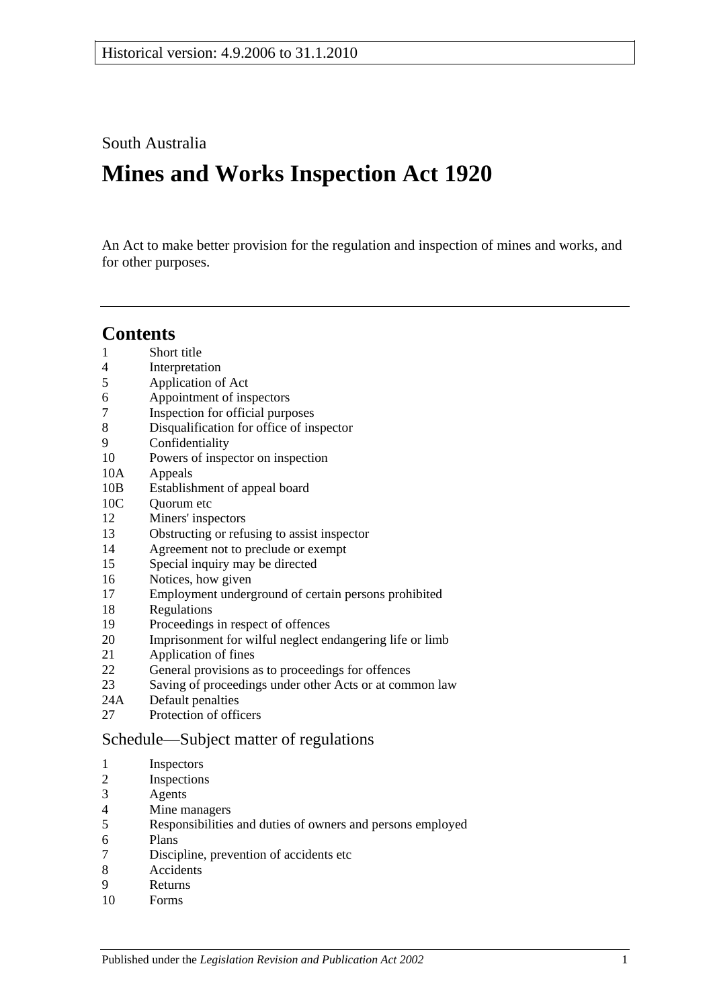South Australia

# **Mines and Works Inspection Act 1920**

An Act to make better provision for the regulation and inspection of mines and works, and for other purposes.

# **Contents**

- [Short title](#page-1-0)
- [Interpretation](#page-1-1)
- [Application of Act](#page-3-0)
- [Appointment of inspectors](#page-3-1)
- [Inspection for official purposes](#page-3-2)
- [Disqualification for office of inspector](#page-3-3)
- [Confidentiality](#page-4-0)
- [Powers of inspector on inspection](#page-4-1)
- 10A [Appeals](#page-6-0)
- 10B [Establishment of appeal board](#page-6-1)
- 10C Ouorum etc
- [Miners' inspectors](#page-7-1)
- Obstructing [or refusing to assist inspector](#page-8-0)
- [Agreement not to preclude or exempt](#page-8-1)
- [Special inquiry may be directed](#page-8-2)
- [Notices, how given](#page-8-3)
- [Employment underground of certain persons prohibited](#page-8-4)
- [Regulations](#page-8-5)
- [Proceedings in respect of offences](#page-9-0)
- [Imprisonment for wilful neglect endangering life or limb](#page-9-1)
- [Application of fines](#page-10-0)
- [General provisions as to proceedings for offences](#page-10-1)
- [Saving of proceedings under other Acts or at common law](#page-10-2)
- 24A [Default penalties](#page-11-0)
- [Protection of officers](#page-11-1)

#### [Schedule—Subject matter of regulations](#page-11-2)

- [Inspectors](#page-11-3)
- [Inspections](#page-11-4)
- [Agents](#page-11-5)
- [Mine managers](#page-11-6)
- Responsibilities [and duties of owners and persons employed](#page-11-7)
- [Plans](#page-12-0)
- [Discipline, prevention of accidents etc](#page-12-1)
- [Accidents](#page-12-2)
- [Returns](#page-12-3)
- [Forms](#page-12-4)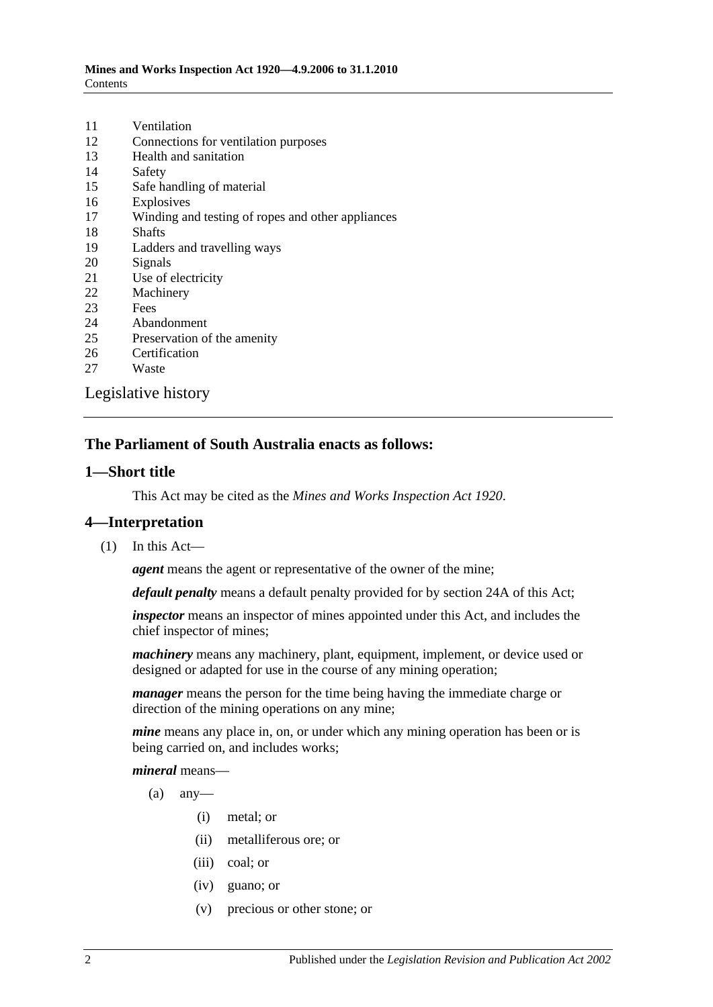| 11 | Ventilation                                       |
|----|---------------------------------------------------|
| 12 | Connections for ventilation purposes              |
| 13 | Health and sanitation                             |
| 14 | Safety                                            |
| 15 | Safe handling of material                         |
| 16 | Explosives                                        |
| 17 | Winding and testing of ropes and other appliances |
| 18 | <b>Shafts</b>                                     |
| 19 | Ladders and travelling ways                       |
| 20 | Signals                                           |
| 21 | Use of electricity                                |
| 22 | Machinery                                         |
| 23 | Fees                                              |
| 24 | Abandonment                                       |
| 25 | Preservation of the amenity                       |
| 26 | Certification                                     |
| 27 | Waste                                             |
|    | Legislative history                               |

# **The Parliament of South Australia enacts as follows:**

#### <span id="page-1-0"></span>**1—Short title**

This Act may be cited as the *Mines and Works Inspection Act 1920*.

#### <span id="page-1-1"></span>**4—Interpretation**

(1) In this Act—

*agent* means the agent or representative of the owner of the mine;

*default penalty* means a default penalty provided for by [section](#page-11-0) 24A of this Act;

*inspector* means an inspector of mines appointed under this Act, and includes the chief inspector of mines;

*machinery* means any machinery, plant, equipment, implement, or device used or designed or adapted for use in the course of any mining operation;

*manager* means the person for the time being having the immediate charge or direction of the mining operations on any mine;

*mine* means any place in, on, or under which any mining operation has been or is being carried on, and includes works;

#### *mineral* means—

- $(a)$  any-
	- (i) metal; or
	- (ii) metalliferous ore; or
	- (iii) coal; or
	- (iv) guano; or
	- (v) precious or other stone; or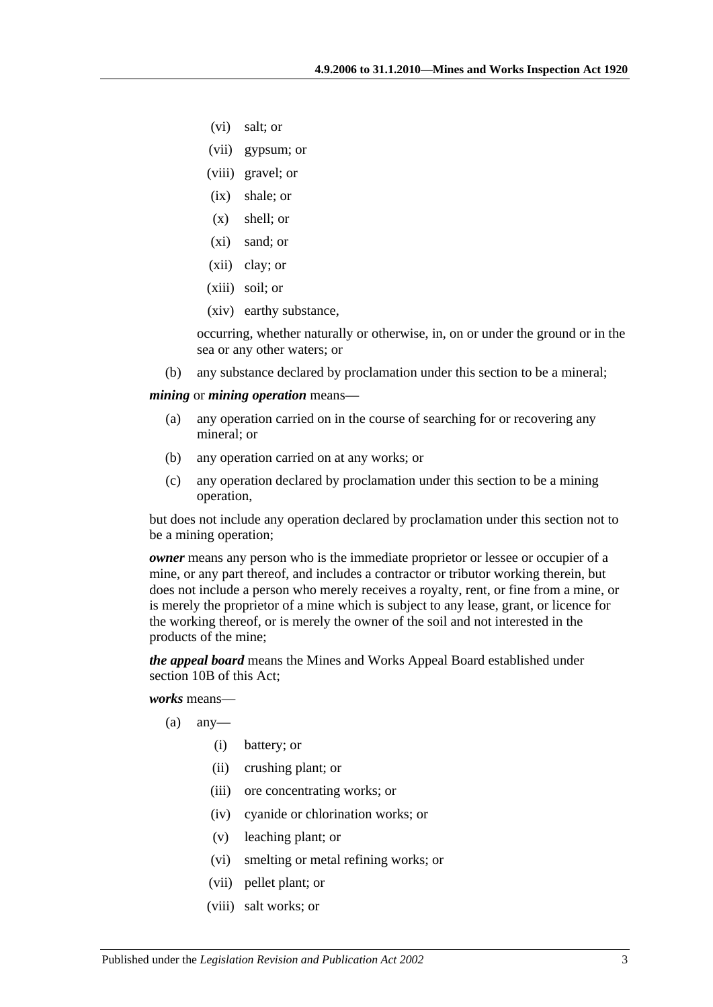- (vi) salt; or
- (vii) gypsum; or
- (viii) gravel; or
- (ix) shale; or
- (x) shell; or
- (xi) sand; or
- (xii) clay; or
- (xiii) soil; or
- (xiv) earthy substance,

occurring, whether naturally or otherwise, in, on or under the ground or in the sea or any other waters; or

(b) any substance declared by proclamation under this section to be a mineral;

<span id="page-2-0"></span>*mining* or *mining operation* means—

- (a) any operation carried on in the course of searching for or recovering any mineral; or
- (b) any operation carried on at any works; or
- (c) any operation declared by proclamation under this section to be a mining operation,

but does not include any operation declared by proclamation under this section not to be a mining operation;

*owner* means any person who is the immediate proprietor or lessee or occupier of a mine, or any part thereof, and includes a contractor or tributor working therein, but does not include a person who merely receives a royalty, rent, or fine from a mine, or is merely the proprietor of a mine which is subject to any lease, grant, or licence for the working thereof, or is merely the owner of the soil and not interested in the products of the mine;

*the appeal board* means the Mines and Works Appeal Board established under [section](#page-6-1) 10B of this Act;

*works* means—

- $(a)$  any-
	- (i) battery; or
	- (ii) crushing plant; or
	- (iii) ore concentrating works; or
	- (iv) cyanide or chlorination works; or
	- (v) leaching plant; or
	- (vi) smelting or metal refining works; or
	- (vii) pellet plant; or
	- (viii) salt works; or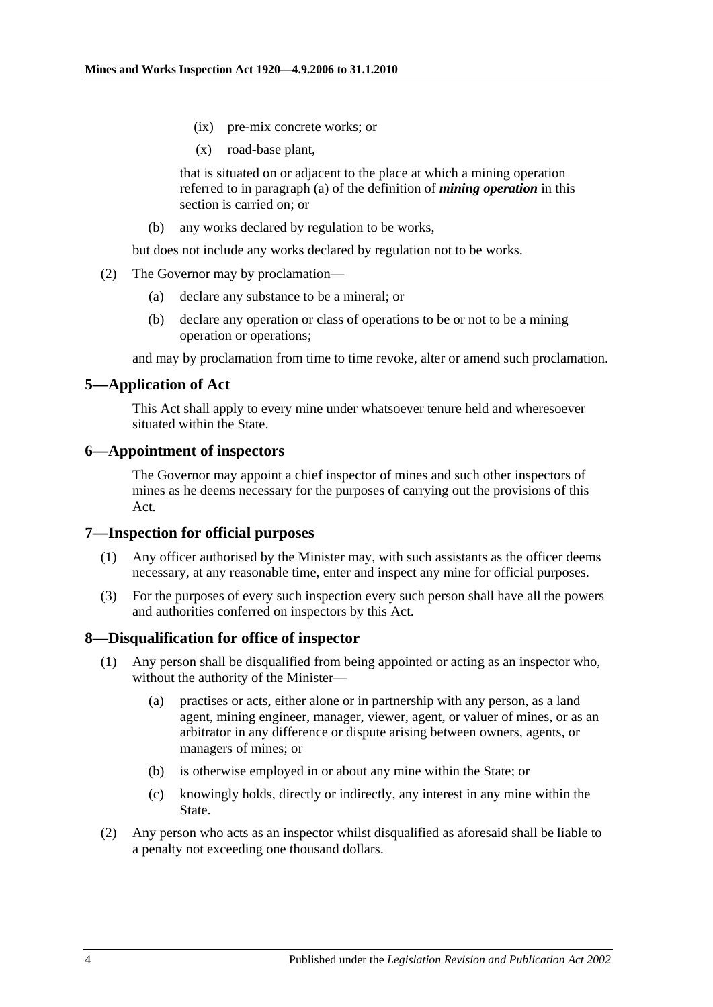- (ix) pre-mix concrete works; or
- (x) road-base plant,

that is situated on or adjacent to the place at which a mining operation referred to in [paragraph](#page-2-0) (a) of the definition of *mining operation* in this section is carried on; or

(b) any works declared by regulation to be works,

but does not include any works declared by regulation not to be works.

- (2) The Governor may by proclamation—
	- (a) declare any substance to be a mineral; or
	- (b) declare any operation or class of operations to be or not to be a mining operation or operations;

and may by proclamation from time to time revoke, alter or amend such proclamation.

# <span id="page-3-0"></span>**5—Application of Act**

This Act shall apply to every mine under whatsoever tenure held and wheresoever situated within the State.

#### <span id="page-3-1"></span>**6—Appointment of inspectors**

The Governor may appoint a chief inspector of mines and such other inspectors of mines as he deems necessary for the purposes of carrying out the provisions of this Act.

#### <span id="page-3-2"></span>**7—Inspection for official purposes**

- (1) Any officer authorised by the Minister may, with such assistants as the officer deems necessary, at any reasonable time, enter and inspect any mine for official purposes.
- (3) For the purposes of every such inspection every such person shall have all the powers and authorities conferred on inspectors by this Act.

#### <span id="page-3-3"></span>**8—Disqualification for office of inspector**

- (1) Any person shall be disqualified from being appointed or acting as an inspector who, without the authority of the Minister—
	- (a) practises or acts, either alone or in partnership with any person, as a land agent, mining engineer, manager, viewer, agent, or valuer of mines, or as an arbitrator in any difference or dispute arising between owners, agents, or managers of mines; or
	- (b) is otherwise employed in or about any mine within the State; or
	- (c) knowingly holds, directly or indirectly, any interest in any mine within the State.
- (2) Any person who acts as an inspector whilst disqualified as aforesaid shall be liable to a penalty not exceeding one thousand dollars.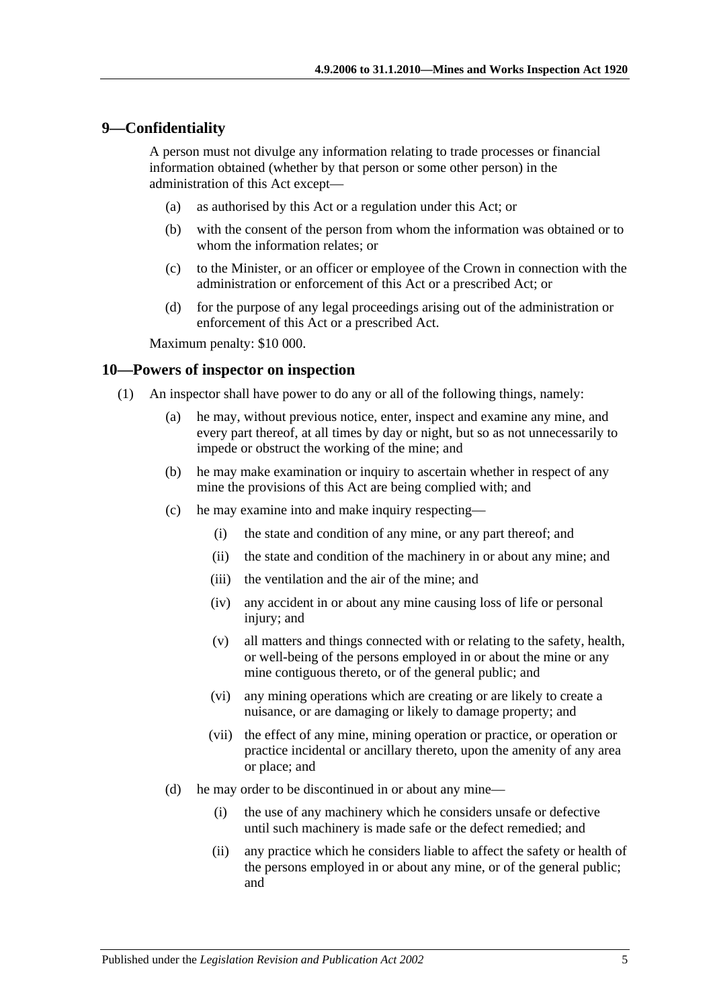# <span id="page-4-0"></span>**9—Confidentiality**

A person must not divulge any information relating to trade processes or financial information obtained (whether by that person or some other person) in the administration of this Act except—

- (a) as authorised by this Act or a regulation under this Act; or
- (b) with the consent of the person from whom the information was obtained or to whom the information relates; or
- (c) to the Minister, or an officer or employee of the Crown in connection with the administration or enforcement of this Act or a prescribed Act; or
- (d) for the purpose of any legal proceedings arising out of the administration or enforcement of this Act or a prescribed Act.

Maximum penalty: \$10 000.

#### <span id="page-4-1"></span>**10—Powers of inspector on inspection**

- <span id="page-4-2"></span>(1) An inspector shall have power to do any or all of the following things, namely:
	- (a) he may, without previous notice, enter, inspect and examine any mine, and every part thereof, at all times by day or night, but so as not unnecessarily to impede or obstruct the working of the mine; and
	- (b) he may make examination or inquiry to ascertain whether in respect of any mine the provisions of this Act are being complied with; and
	- (c) he may examine into and make inquiry respecting—
		- (i) the state and condition of any mine, or any part thereof; and
		- (ii) the state and condition of the machinery in or about any mine; and
		- (iii) the ventilation and the air of the mine; and
		- (iv) any accident in or about any mine causing loss of life or personal injury; and
		- (v) all matters and things connected with or relating to the safety, health, or well-being of the persons employed in or about the mine or any mine contiguous thereto, or of the general public; and
		- (vi) any mining operations which are creating or are likely to create a nuisance, or are damaging or likely to damage property; and
		- (vii) the effect of any mine, mining operation or practice, or operation or practice incidental or ancillary thereto, upon the amenity of any area or place; and
	- (d) he may order to be discontinued in or about any mine—
		- (i) the use of any machinery which he considers unsafe or defective until such machinery is made safe or the defect remedied; and
		- (ii) any practice which he considers liable to affect the safety or health of the persons employed in or about any mine, or of the general public; and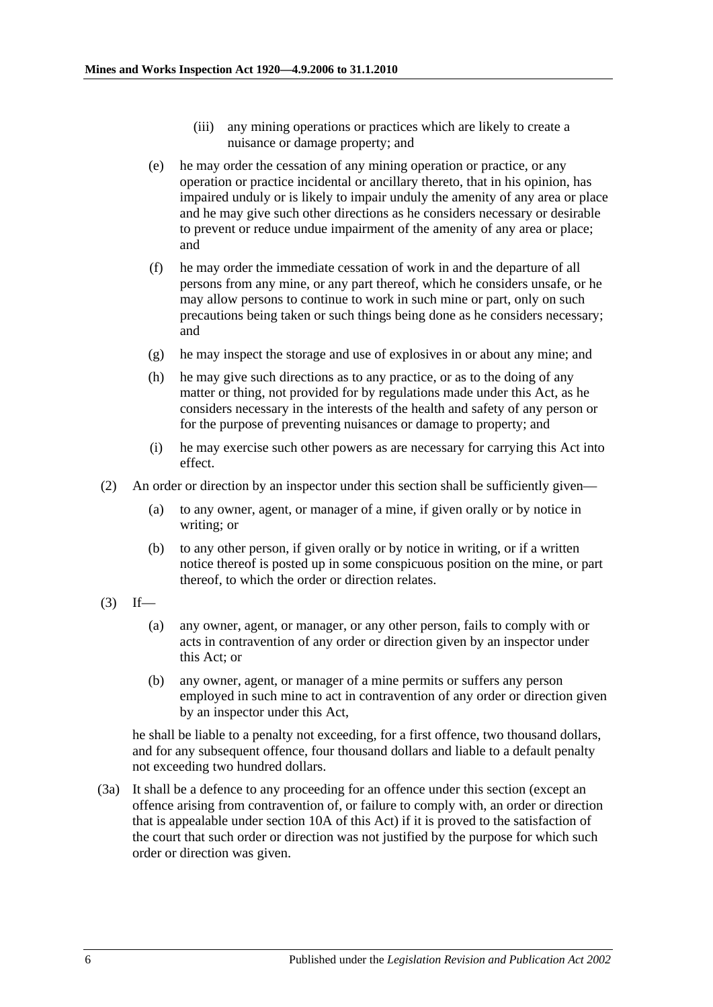- (iii) any mining operations or practices which are likely to create a nuisance or damage property; and
- <span id="page-5-1"></span>(e) he may order the cessation of any mining operation or practice, or any operation or practice incidental or ancillary thereto, that in his opinion, has impaired unduly or is likely to impair unduly the amenity of any area or place and he may give such other directions as he considers necessary or desirable to prevent or reduce undue impairment of the amenity of any area or place; and
- (f) he may order the immediate cessation of work in and the departure of all persons from any mine, or any part thereof, which he considers unsafe, or he may allow persons to continue to work in such mine or part, only on such precautions being taken or such things being done as he considers necessary; and
- (g) he may inspect the storage and use of explosives in or about any mine; and
- (h) he may give such directions as to any practice, or as to the doing of any matter or thing, not provided for by regulations made under this Act, as he considers necessary in the interests of the health and safety of any person or for the purpose of preventing nuisances or damage to property; and
- (i) he may exercise such other powers as are necessary for carrying this Act into effect.
- (2) An order or direction by an inspector under this section shall be sufficiently given—
	- (a) to any owner, agent, or manager of a mine, if given orally or by notice in writing; or
	- (b) to any other person, if given orally or by notice in writing, or if a written notice thereof is posted up in some conspicuous position on the mine, or part thereof, to which the order or direction relates.
- <span id="page-5-0"></span> $(3)$  If—
	- (a) any owner, agent, or manager, or any other person, fails to comply with or acts in contravention of any order or direction given by an inspector under this Act; or
	- (b) any owner, agent, or manager of a mine permits or suffers any person employed in such mine to act in contravention of any order or direction given by an inspector under this Act,

he shall be liable to a penalty not exceeding, for a first offence, two thousand dollars, and for any subsequent offence, four thousand dollars and liable to a default penalty not exceeding two hundred dollars.

(3a) It shall be a defence to any proceeding for an offence under this section (except an offence arising from contravention of, or failure to comply with, an order or direction that is appealable under [section](#page-6-0) 10A of this Act) if it is proved to the satisfaction of the court that such order or direction was not justified by the purpose for which such order or direction was given.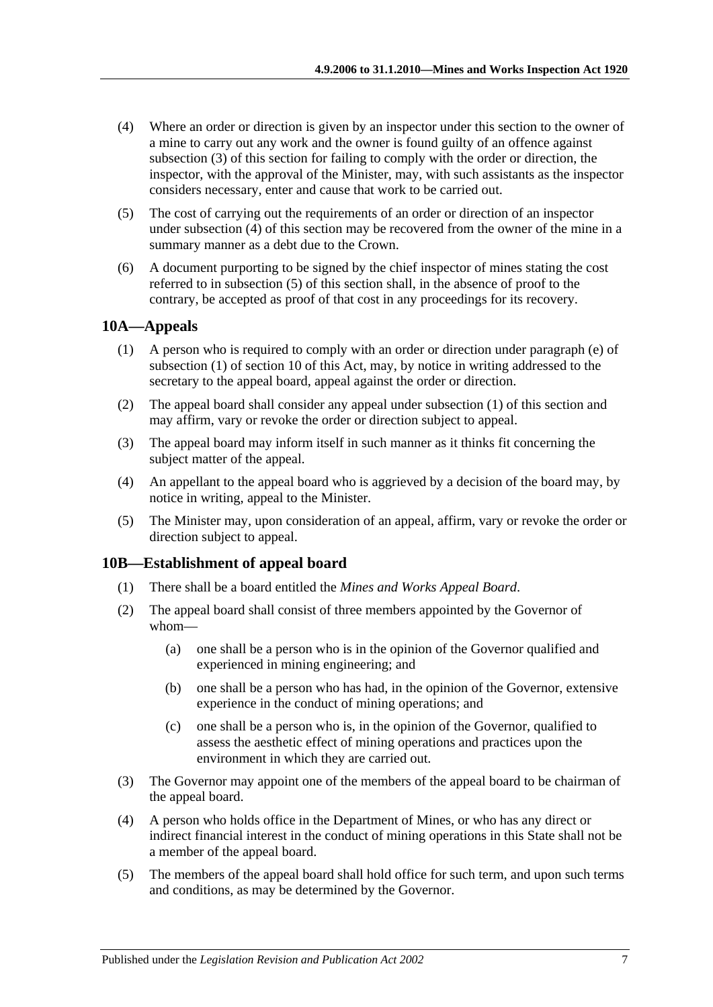- <span id="page-6-2"></span>(4) Where an order or direction is given by an inspector under this section to the owner of a mine to carry out any work and the owner is found guilty of an offence against [subsection](#page-5-0) (3) of this section for failing to comply with the order or direction, the inspector, with the approval of the Minister, may, with such assistants as the inspector considers necessary, enter and cause that work to be carried out.
- <span id="page-6-3"></span>(5) The cost of carrying out the requirements of an order or direction of an inspector under [subsection](#page-6-2) (4) of this section may be recovered from the owner of the mine in a summary manner as a debt due to the Crown.
- (6) A document purporting to be signed by the chief inspector of mines stating the cost referred to in [subsection](#page-6-3) (5) of this section shall, in the absence of proof to the contrary, be accepted as proof of that cost in any proceedings for its recovery.

# <span id="page-6-4"></span><span id="page-6-0"></span>**10A—Appeals**

- (1) A person who is required to comply with an order or direction under [paragraph](#page-5-1) (e) of [subsection](#page-4-2) (1) of [section](#page-4-1) 10 of this Act, may, by notice in writing addressed to the secretary to the appeal board, appeal against the order or direction.
- (2) The appeal board shall consider any appeal under [subsection](#page-6-4) (1) of this section and may affirm, vary or revoke the order or direction subject to appeal.
- (3) The appeal board may inform itself in such manner as it thinks fit concerning the subject matter of the appeal.
- (4) An appellant to the appeal board who is aggrieved by a decision of the board may, by notice in writing, appeal to the Minister.
- (5) The Minister may, upon consideration of an appeal, affirm, vary or revoke the order or direction subject to appeal.

# <span id="page-6-1"></span>**10B—Establishment of appeal board**

- (1) There shall be a board entitled the *Mines and Works Appeal Board*.
- (2) The appeal board shall consist of three members appointed by the Governor of whom—
	- (a) one shall be a person who is in the opinion of the Governor qualified and experienced in mining engineering; and
	- (b) one shall be a person who has had, in the opinion of the Governor, extensive experience in the conduct of mining operations; and
	- (c) one shall be a person who is, in the opinion of the Governor, qualified to assess the aesthetic effect of mining operations and practices upon the environment in which they are carried out.
- (3) The Governor may appoint one of the members of the appeal board to be chairman of the appeal board.
- (4) A person who holds office in the Department of Mines, or who has any direct or indirect financial interest in the conduct of mining operations in this State shall not be a member of the appeal board.
- (5) The members of the appeal board shall hold office for such term, and upon such terms and conditions, as may be determined by the Governor.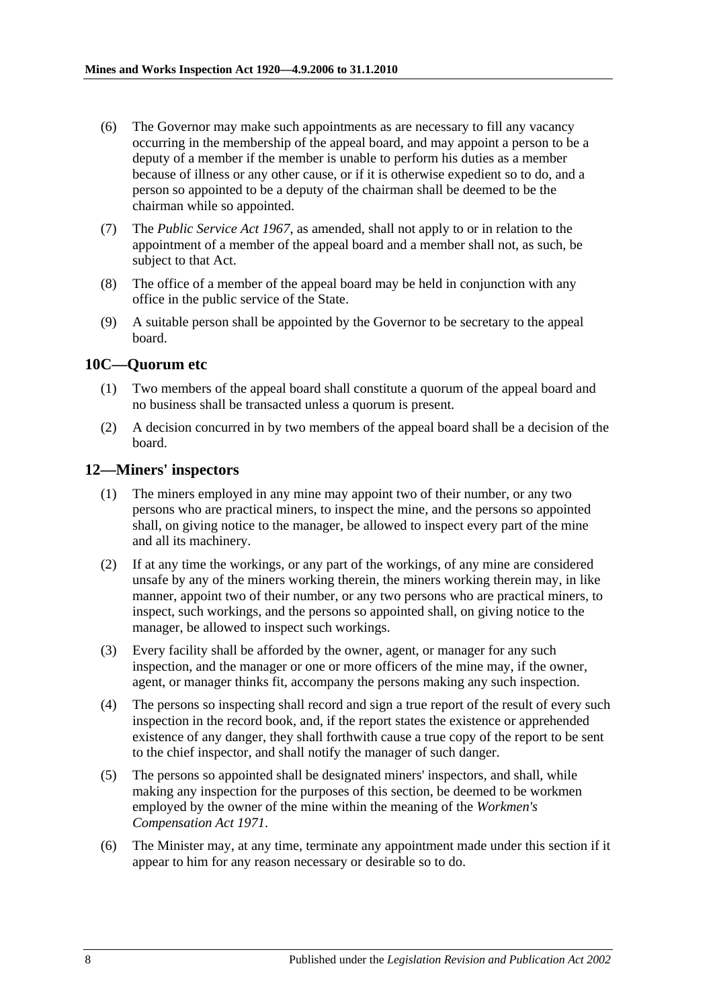- (6) The Governor may make such appointments as are necessary to fill any vacancy occurring in the membership of the appeal board, and may appoint a person to be a deputy of a member if the member is unable to perform his duties as a member because of illness or any other cause, or if it is otherwise expedient so to do, and a person so appointed to be a deputy of the chairman shall be deemed to be the chairman while so appointed.
- (7) The *[Public Service Act](http://www.legislation.sa.gov.au/index.aspx?action=legref&type=act&legtitle=Public%20Service%20Act%201967) 1967*, as amended, shall not apply to or in relation to the appointment of a member of the appeal board and a member shall not, as such, be subject to that Act.
- (8) The office of a member of the appeal board may be held in conjunction with any office in the public service of the State.
- (9) A suitable person shall be appointed by the Governor to be secretary to the appeal board.

### <span id="page-7-0"></span>**10C—Quorum etc**

- (1) Two members of the appeal board shall constitute a quorum of the appeal board and no business shall be transacted unless a quorum is present.
- (2) A decision concurred in by two members of the appeal board shall be a decision of the board.

### <span id="page-7-1"></span>**12—Miners' inspectors**

- (1) The miners employed in any mine may appoint two of their number, or any two persons who are practical miners, to inspect the mine, and the persons so appointed shall, on giving notice to the manager, be allowed to inspect every part of the mine and all its machinery.
- (2) If at any time the workings, or any part of the workings, of any mine are considered unsafe by any of the miners working therein, the miners working therein may, in like manner, appoint two of their number, or any two persons who are practical miners, to inspect, such workings, and the persons so appointed shall, on giving notice to the manager, be allowed to inspect such workings.
- (3) Every facility shall be afforded by the owner, agent, or manager for any such inspection, and the manager or one or more officers of the mine may, if the owner, agent, or manager thinks fit, accompany the persons making any such inspection.
- (4) The persons so inspecting shall record and sign a true report of the result of every such inspection in the record book, and, if the report states the existence or apprehended existence of any danger, they shall forthwith cause a true copy of the report to be sent to the chief inspector, and shall notify the manager of such danger.
- (5) The persons so appointed shall be designated miners' inspectors, and shall, while making any inspection for the purposes of this section, be deemed to be workmen employed by the owner of the mine within the meaning of the *[Workmen's](http://www.legislation.sa.gov.au/index.aspx?action=legref&type=act&legtitle=Workmens%20Compensation%20Act%201971)  [Compensation Act](http://www.legislation.sa.gov.au/index.aspx?action=legref&type=act&legtitle=Workmens%20Compensation%20Act%201971) 1971*.
- (6) The Minister may, at any time, terminate any appointment made under this section if it appear to him for any reason necessary or desirable so to do.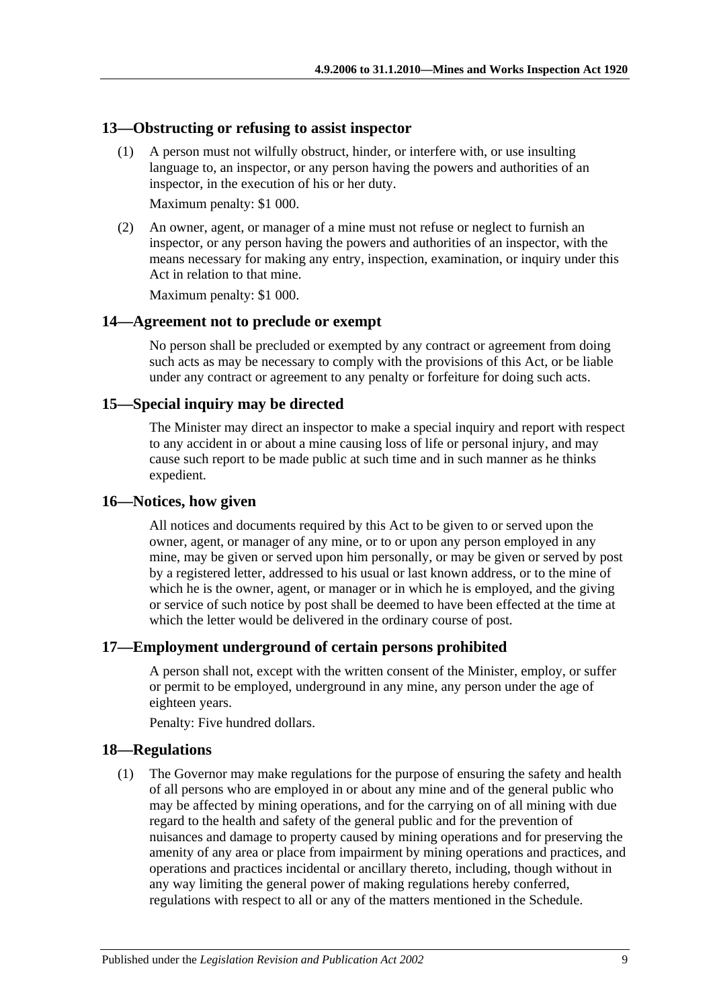#### <span id="page-8-0"></span>**13—Obstructing or refusing to assist inspector**

(1) A person must not wilfully obstruct, hinder, or interfere with, or use insulting language to, an inspector, or any person having the powers and authorities of an inspector, in the execution of his or her duty.

Maximum penalty: \$1 000.

(2) An owner, agent, or manager of a mine must not refuse or neglect to furnish an inspector, or any person having the powers and authorities of an inspector, with the means necessary for making any entry, inspection, examination, or inquiry under this Act in relation to that mine.

Maximum penalty: \$1 000.

#### <span id="page-8-1"></span>**14—Agreement not to preclude or exempt**

No person shall be precluded or exempted by any contract or agreement from doing such acts as may be necessary to comply with the provisions of this Act, or be liable under any contract or agreement to any penalty or forfeiture for doing such acts.

### <span id="page-8-2"></span>**15—Special inquiry may be directed**

The Minister may direct an inspector to make a special inquiry and report with respect to any accident in or about a mine causing loss of life or personal injury, and may cause such report to be made public at such time and in such manner as he thinks expedient.

#### <span id="page-8-3"></span>**16—Notices, how given**

All notices and documents required by this Act to be given to or served upon the owner, agent, or manager of any mine, or to or upon any person employed in any mine, may be given or served upon him personally, or may be given or served by post by a registered letter, addressed to his usual or last known address, or to the mine of which he is the owner, agent, or manager or in which he is employed, and the giving or service of such notice by post shall be deemed to have been effected at the time at which the letter would be delivered in the ordinary course of post.

#### <span id="page-8-4"></span>**17—Employment underground of certain persons prohibited**

A person shall not, except with the written consent of the Minister, employ, or suffer or permit to be employed, underground in any mine, any person under the age of eighteen years.

Penalty: Five hundred dollars.

#### <span id="page-8-5"></span>**18—Regulations**

(1) The Governor may make regulations for the purpose of ensuring the safety and health of all persons who are employed in or about any mine and of the general public who may be affected by mining operations, and for the carrying on of all mining with due regard to the health and safety of the general public and for the prevention of nuisances and damage to property caused by mining operations and for preserving the amenity of any area or place from impairment by mining operations and practices, and operations and practices incidental or ancillary thereto, including, though without in any way limiting the general power of making regulations hereby conferred, regulations with respect to all or any of the matters mentioned in the [Schedule.](#page-11-2)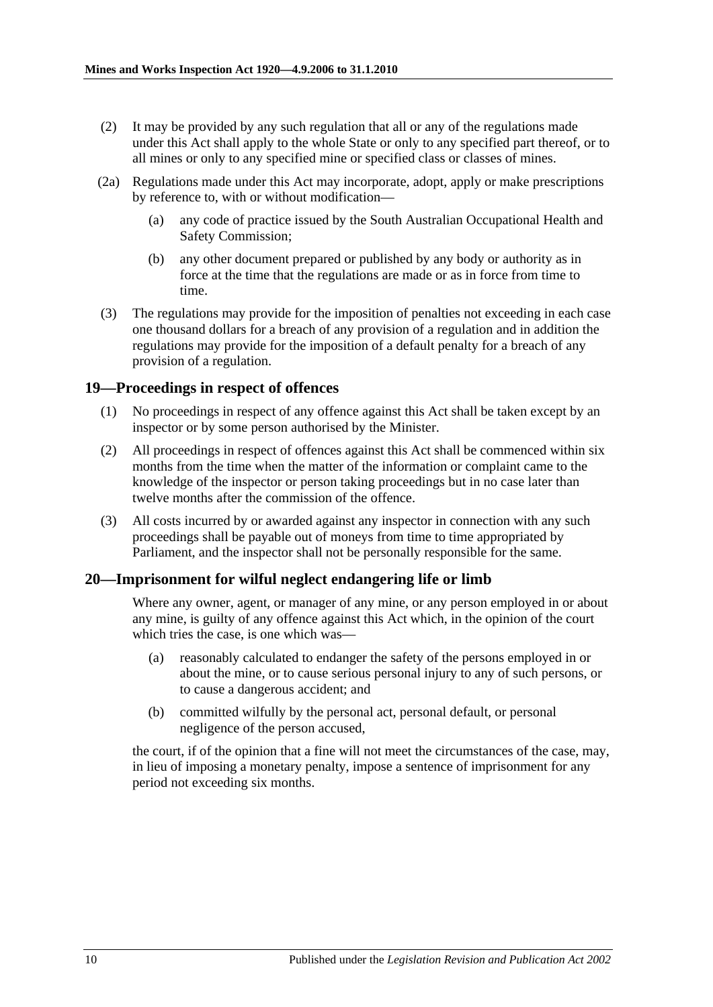- (2) It may be provided by any such regulation that all or any of the regulations made under this Act shall apply to the whole State or only to any specified part thereof, or to all mines or only to any specified mine or specified class or classes of mines.
- (2a) Regulations made under this Act may incorporate, adopt, apply or make prescriptions by reference to, with or without modification—
	- (a) any code of practice issued by the South Australian Occupational Health and Safety Commission;
	- (b) any other document prepared or published by any body or authority as in force at the time that the regulations are made or as in force from time to time.
- (3) The regulations may provide for the imposition of penalties not exceeding in each case one thousand dollars for a breach of any provision of a regulation and in addition the regulations may provide for the imposition of a default penalty for a breach of any provision of a regulation.

### <span id="page-9-0"></span>**19—Proceedings in respect of offences**

- (1) No proceedings in respect of any offence against this Act shall be taken except by an inspector or by some person authorised by the Minister.
- (2) All proceedings in respect of offences against this Act shall be commenced within six months from the time when the matter of the information or complaint came to the knowledge of the inspector or person taking proceedings but in no case later than twelve months after the commission of the offence.
- (3) All costs incurred by or awarded against any inspector in connection with any such proceedings shall be payable out of moneys from time to time appropriated by Parliament, and the inspector shall not be personally responsible for the same.

#### <span id="page-9-1"></span>**20—Imprisonment for wilful neglect endangering life or limb**

Where any owner, agent, or manager of any mine, or any person employed in or about any mine, is guilty of any offence against this Act which, in the opinion of the court which tries the case, is one which was—

- (a) reasonably calculated to endanger the safety of the persons employed in or about the mine, or to cause serious personal injury to any of such persons, or to cause a dangerous accident; and
- (b) committed wilfully by the personal act, personal default, or personal negligence of the person accused,

the court, if of the opinion that a fine will not meet the circumstances of the case, may, in lieu of imposing a monetary penalty, impose a sentence of imprisonment for any period not exceeding six months.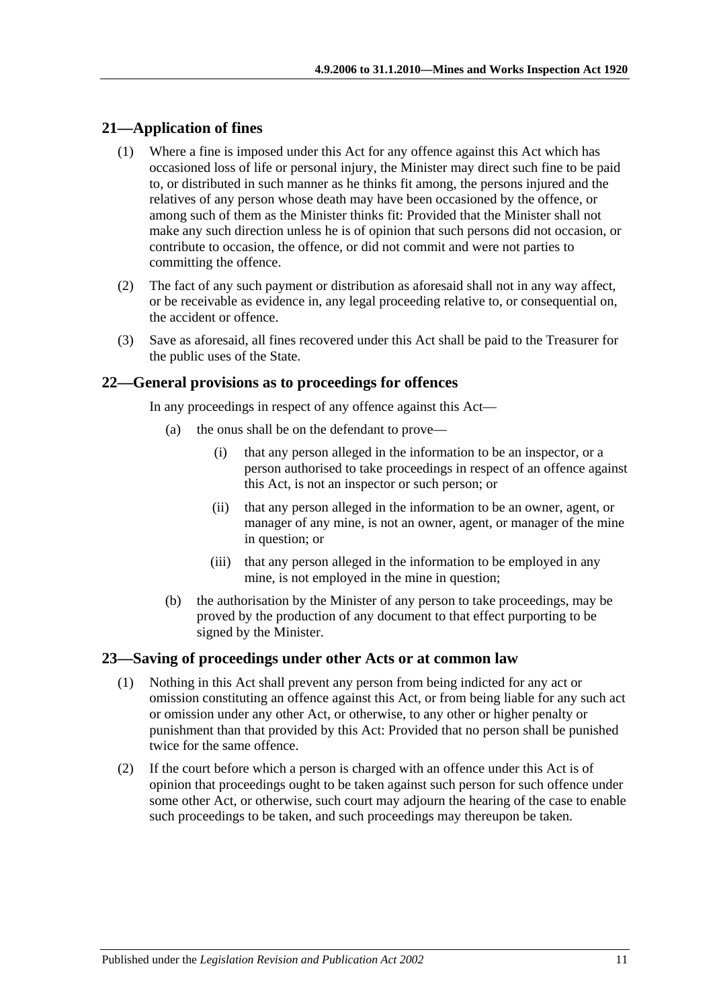# <span id="page-10-0"></span>**21—Application of fines**

- (1) Where a fine is imposed under this Act for any offence against this Act which has occasioned loss of life or personal injury, the Minister may direct such fine to be paid to, or distributed in such manner as he thinks fit among, the persons injured and the relatives of any person whose death may have been occasioned by the offence, or among such of them as the Minister thinks fit: Provided that the Minister shall not make any such direction unless he is of opinion that such persons did not occasion, or contribute to occasion, the offence, or did not commit and were not parties to committing the offence.
- (2) The fact of any such payment or distribution as aforesaid shall not in any way affect, or be receivable as evidence in, any legal proceeding relative to, or consequential on, the accident or offence.
- (3) Save as aforesaid, all fines recovered under this Act shall be paid to the Treasurer for the public uses of the State.

### <span id="page-10-1"></span>**22—General provisions as to proceedings for offences**

In any proceedings in respect of any offence against this Act—

- (a) the onus shall be on the defendant to prove—
	- (i) that any person alleged in the information to be an inspector, or a person authorised to take proceedings in respect of an offence against this Act, is not an inspector or such person; or
	- (ii) that any person alleged in the information to be an owner, agent, or manager of any mine, is not an owner, agent, or manager of the mine in question; or
	- (iii) that any person alleged in the information to be employed in any mine, is not employed in the mine in question;
- (b) the authorisation by the Minister of any person to take proceedings, may be proved by the production of any document to that effect purporting to be signed by the Minister.

# <span id="page-10-2"></span>**23—Saving of proceedings under other Acts or at common law**

- (1) Nothing in this Act shall prevent any person from being indicted for any act or omission constituting an offence against this Act, or from being liable for any such act or omission under any other Act, or otherwise, to any other or higher penalty or punishment than that provided by this Act: Provided that no person shall be punished twice for the same offence.
- (2) If the court before which a person is charged with an offence under this Act is of opinion that proceedings ought to be taken against such person for such offence under some other Act, or otherwise, such court may adjourn the hearing of the case to enable such proceedings to be taken, and such proceedings may thereupon be taken.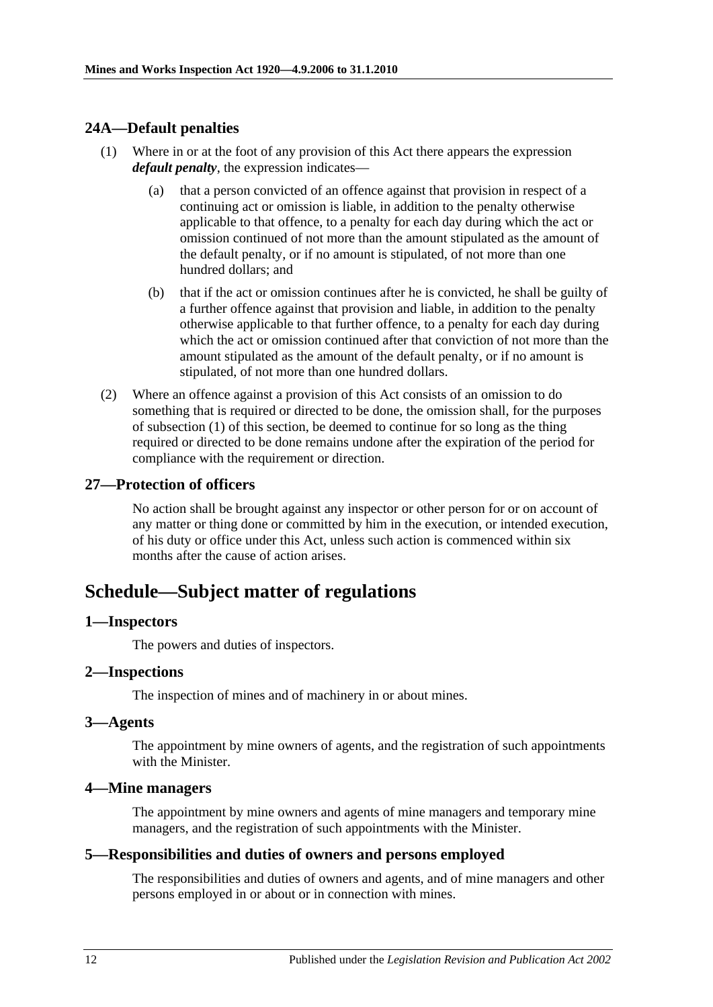# <span id="page-11-8"></span><span id="page-11-0"></span>**24A—Default penalties**

- (1) Where in or at the foot of any provision of this Act there appears the expression *default penalty*, the expression indicates—
	- (a) that a person convicted of an offence against that provision in respect of a continuing act or omission is liable, in addition to the penalty otherwise applicable to that offence, to a penalty for each day during which the act or omission continued of not more than the amount stipulated as the amount of the default penalty, or if no amount is stipulated, of not more than one hundred dollars; and
	- (b) that if the act or omission continues after he is convicted, he shall be guilty of a further offence against that provision and liable, in addition to the penalty otherwise applicable to that further offence, to a penalty for each day during which the act or omission continued after that conviction of not more than the amount stipulated as the amount of the default penalty, or if no amount is stipulated, of not more than one hundred dollars.
- (2) Where an offence against a provision of this Act consists of an omission to do something that is required or directed to be done, the omission shall, for the purposes of [subsection](#page-11-8) (1) of this section, be deemed to continue for so long as the thing required or directed to be done remains undone after the expiration of the period for compliance with the requirement or direction.

# <span id="page-11-1"></span>**27—Protection of officers**

No action shall be brought against any inspector or other person for or on account of any matter or thing done or committed by him in the execution, or intended execution, of his duty or office under this Act, unless such action is commenced within six months after the cause of action arises.

# <span id="page-11-2"></span>**Schedule—Subject matter of regulations**

#### <span id="page-11-3"></span>**1—Inspectors**

The powers and duties of inspectors.

#### <span id="page-11-4"></span>**2—Inspections**

The inspection of mines and of machinery in or about mines.

#### <span id="page-11-5"></span>**3—Agents**

The appointment by mine owners of agents, and the registration of such appointments with the Minister.

#### <span id="page-11-6"></span>**4—Mine managers**

The appointment by mine owners and agents of mine managers and temporary mine managers, and the registration of such appointments with the Minister.

#### <span id="page-11-7"></span>**5—Responsibilities and duties of owners and persons employed**

The responsibilities and duties of owners and agents, and of mine managers and other persons employed in or about or in connection with mines.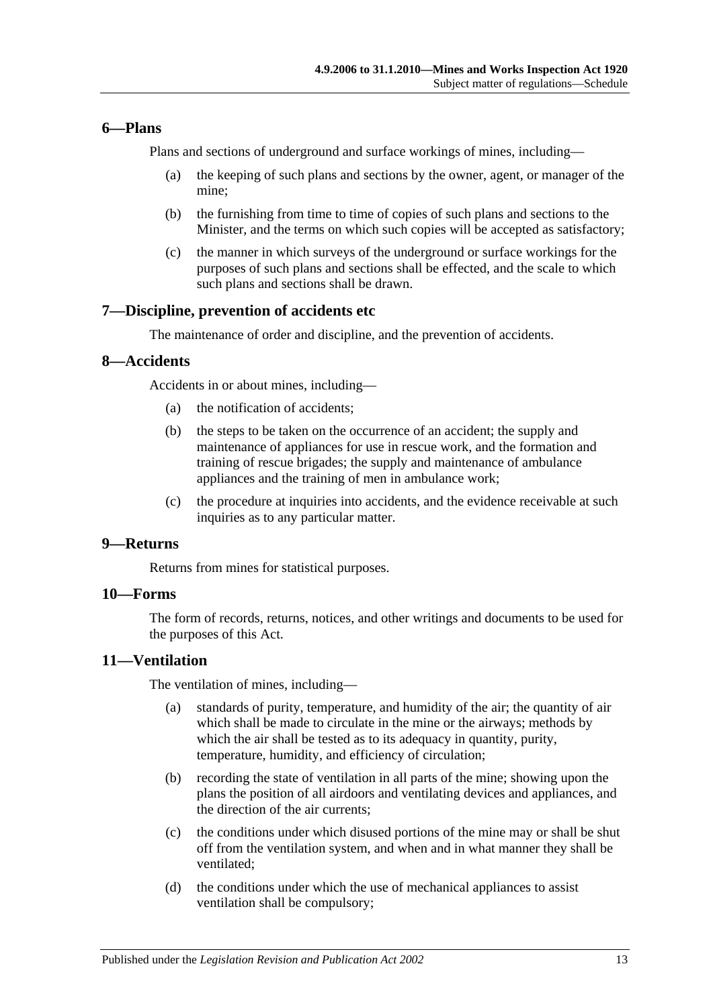# <span id="page-12-0"></span>**6—Plans**

Plans and sections of underground and surface workings of mines, including—

- (a) the keeping of such plans and sections by the owner, agent, or manager of the mine;
- (b) the furnishing from time to time of copies of such plans and sections to the Minister, and the terms on which such copies will be accepted as satisfactory;
- (c) the manner in which surveys of the underground or surface workings for the purposes of such plans and sections shall be effected, and the scale to which such plans and sections shall be drawn.

# <span id="page-12-1"></span>**7—Discipline, prevention of accidents etc**

The maintenance of order and discipline, and the prevention of accidents.

### <span id="page-12-2"></span>**8—Accidents**

Accidents in or about mines, including—

- (a) the notification of accidents;
- (b) the steps to be taken on the occurrence of an accident; the supply and maintenance of appliances for use in rescue work, and the formation and training of rescue brigades; the supply and maintenance of ambulance appliances and the training of men in ambulance work;
- (c) the procedure at inquiries into accidents, and the evidence receivable at such inquiries as to any particular matter.

### <span id="page-12-3"></span>**9—Returns**

Returns from mines for statistical purposes.

# <span id="page-12-4"></span>**10—Forms**

The form of records, returns, notices, and other writings and documents to be used for the purposes of this Act.

#### <span id="page-12-5"></span>**11—Ventilation**

The ventilation of mines, including—

- (a) standards of purity, temperature, and humidity of the air; the quantity of air which shall be made to circulate in the mine or the airways; methods by which the air shall be tested as to its adequacy in quantity, purity, temperature, humidity, and efficiency of circulation;
- (b) recording the state of ventilation in all parts of the mine; showing upon the plans the position of all airdoors and ventilating devices and appliances, and the direction of the air currents;
- (c) the conditions under which disused portions of the mine may or shall be shut off from the ventilation system, and when and in what manner they shall be ventilated;
- (d) the conditions under which the use of mechanical appliances to assist ventilation shall be compulsory;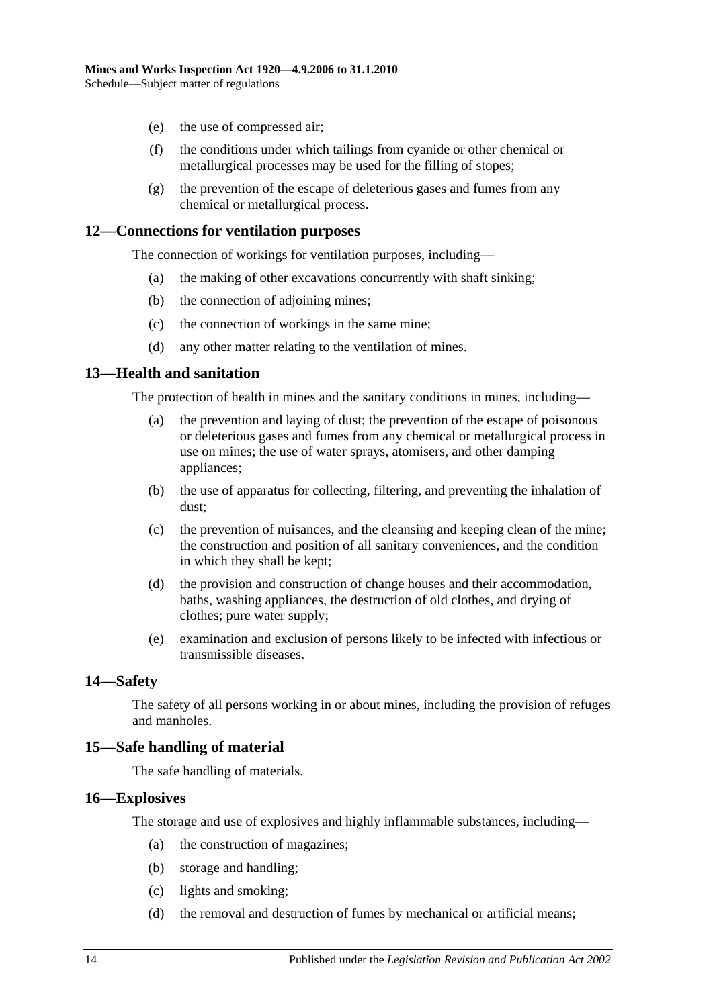- (e) the use of compressed air;
- (f) the conditions under which tailings from cyanide or other chemical or metallurgical processes may be used for the filling of stopes;
- (g) the prevention of the escape of deleterious gases and fumes from any chemical or metallurgical process.

### <span id="page-13-0"></span>**12—Connections for ventilation purposes**

The connection of workings for ventilation purposes, including—

- (a) the making of other excavations concurrently with shaft sinking;
- (b) the connection of adjoining mines;
- (c) the connection of workings in the same mine;
- (d) any other matter relating to the ventilation of mines.

# <span id="page-13-1"></span>**13—Health and sanitation**

The protection of health in mines and the sanitary conditions in mines, including—

- (a) the prevention and laying of dust; the prevention of the escape of poisonous or deleterious gases and fumes from any chemical or metallurgical process in use on mines; the use of water sprays, atomisers, and other damping appliances;
- (b) the use of apparatus for collecting, filtering, and preventing the inhalation of dust;
- (c) the prevention of nuisances, and the cleansing and keeping clean of the mine; the construction and position of all sanitary conveniences, and the condition in which they shall be kept;
- (d) the provision and construction of change houses and their accommodation, baths, washing appliances, the destruction of old clothes, and drying of clothes; pure water supply;
- (e) examination and exclusion of persons likely to be infected with infectious or transmissible diseases.

#### <span id="page-13-2"></span>**14—Safety**

The safety of all persons working in or about mines, including the provision of refuges and manholes.

# <span id="page-13-3"></span>**15—Safe handling of material**

The safe handling of materials.

#### <span id="page-13-4"></span>**16—Explosives**

The storage and use of explosives and highly inflammable substances, including—

- (a) the construction of magazines;
- (b) storage and handling;
- (c) lights and smoking;
- (d) the removal and destruction of fumes by mechanical or artificial means;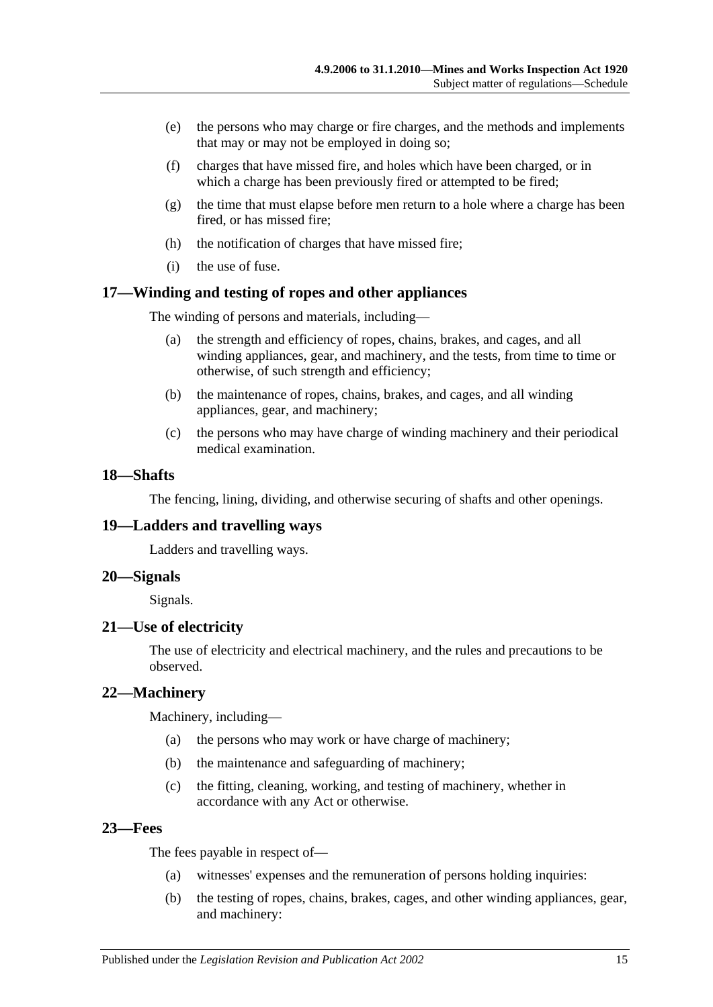- (e) the persons who may charge or fire charges, and the methods and implements that may or may not be employed in doing so;
- (f) charges that have missed fire, and holes which have been charged, or in which a charge has been previously fired or attempted to be fired;
- (g) the time that must elapse before men return to a hole where a charge has been fired, or has missed fire;
- (h) the notification of charges that have missed fire;
- (i) the use of fuse.

#### <span id="page-14-0"></span>**17—Winding and testing of ropes and other appliances**

The winding of persons and materials, including—

- (a) the strength and efficiency of ropes, chains, brakes, and cages, and all winding appliances, gear, and machinery, and the tests, from time to time or otherwise, of such strength and efficiency;
- (b) the maintenance of ropes, chains, brakes, and cages, and all winding appliances, gear, and machinery;
- (c) the persons who may have charge of winding machinery and their periodical medical examination.

### <span id="page-14-1"></span>**18—Shafts**

The fencing, lining, dividing, and otherwise securing of shafts and other openings.

#### <span id="page-14-2"></span>**19—Ladders and travelling ways**

Ladders and travelling ways.

#### <span id="page-14-3"></span>**20—Signals**

Signals.

#### <span id="page-14-4"></span>**21—Use of electricity**

The use of electricity and electrical machinery, and the rules and precautions to be observed.

#### <span id="page-14-5"></span>**22—Machinery**

Machinery, including—

- (a) the persons who may work or have charge of machinery;
- (b) the maintenance and safeguarding of machinery;
- (c) the fitting, cleaning, working, and testing of machinery, whether in accordance with any Act or otherwise.

#### <span id="page-14-6"></span>**23—Fees**

The fees payable in respect of—

- (a) witnesses' expenses and the remuneration of persons holding inquiries:
- (b) the testing of ropes, chains, brakes, cages, and other winding appliances, gear, and machinery: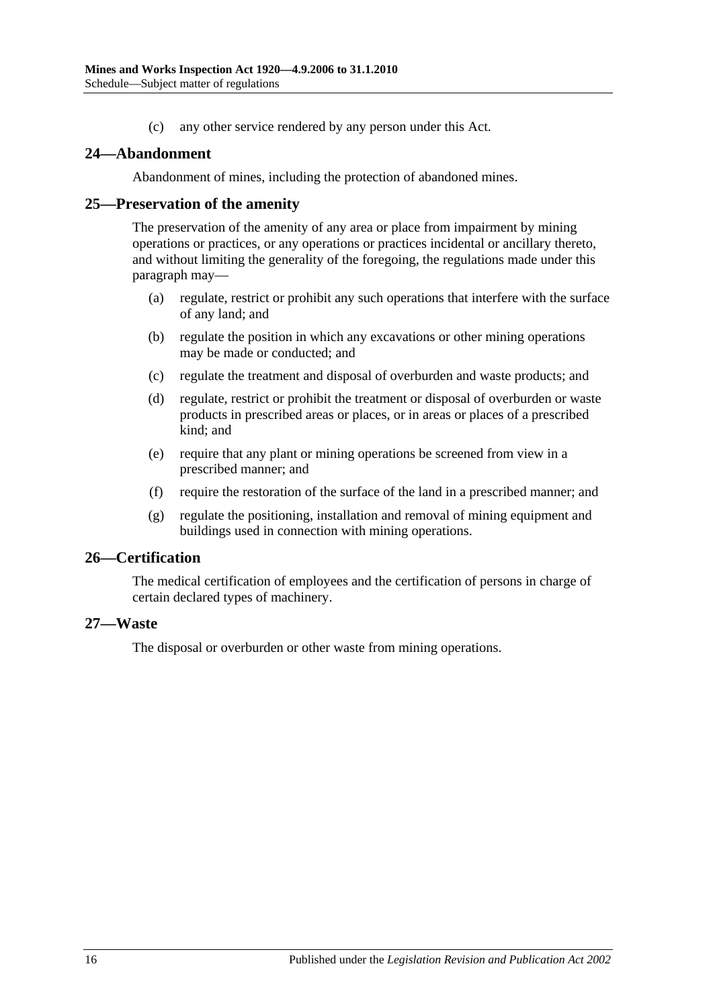(c) any other service rendered by any person under this Act.

### <span id="page-15-0"></span>**24—Abandonment**

Abandonment of mines, including the protection of abandoned mines.

#### <span id="page-15-1"></span>**25—Preservation of the amenity**

The preservation of the amenity of any area or place from impairment by mining operations or practices, or any operations or practices incidental or ancillary thereto, and without limiting the generality of the foregoing, the regulations made under this paragraph may—

- (a) regulate, restrict or prohibit any such operations that interfere with the surface of any land; and
- (b) regulate the position in which any excavations or other mining operations may be made or conducted; and
- (c) regulate the treatment and disposal of overburden and waste products; and
- (d) regulate, restrict or prohibit the treatment or disposal of overburden or waste products in prescribed areas or places, or in areas or places of a prescribed kind; and
- (e) require that any plant or mining operations be screened from view in a prescribed manner; and
- (f) require the restoration of the surface of the land in a prescribed manner; and
- (g) regulate the positioning, installation and removal of mining equipment and buildings used in connection with mining operations.

# <span id="page-15-2"></span>**26—Certification**

The medical certification of employees and the certification of persons in charge of certain declared types of machinery.

#### <span id="page-15-3"></span>**27—Waste**

The disposal or overburden or other waste from mining operations.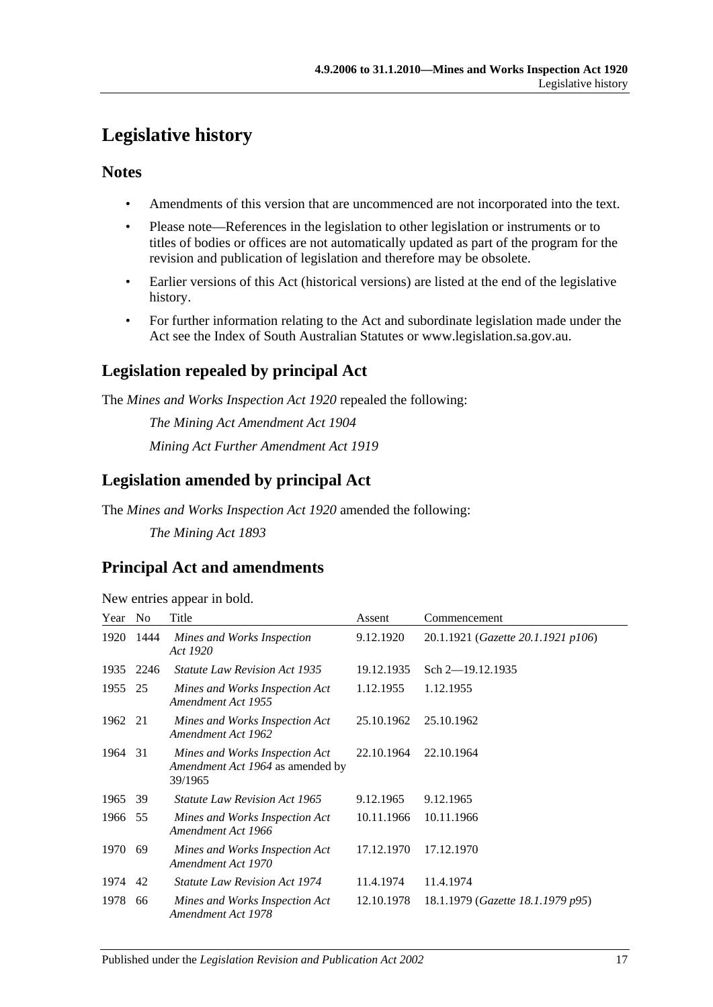# <span id="page-16-0"></span>**Legislative history**

# **Notes**

- Amendments of this version that are uncommenced are not incorporated into the text.
- Please note—References in the legislation to other legislation or instruments or to titles of bodies or offices are not automatically updated as part of the program for the revision and publication of legislation and therefore may be obsolete.
- Earlier versions of this Act (historical versions) are listed at the end of the legislative history.
- For further information relating to the Act and subordinate legislation made under the Act see the Index of South Australian Statutes or www.legislation.sa.gov.au.

# **Legislation repealed by principal Act**

The *Mines and Works Inspection Act 1920* repealed the following:

*The Mining Act Amendment Act 1904 Mining Act Further Amendment Act 1919*

# **Legislation amended by principal Act**

The *Mines and Works Inspection Act 1920* amended the following:

*The Mining Act 1893*

# **Principal Act and amendments**

New entries appear in bold.

| Year    | N <sub>o</sub> | Title                                                                         | Assent     | Commencement                       |
|---------|----------------|-------------------------------------------------------------------------------|------------|------------------------------------|
| 1920    | 1444           | Mines and Works Inspection<br>Act 1920                                        | 9.12.1920  | 20.1.1921 (Gazette 20.1.1921 p106) |
| 1935    | 2246           | <b>Statute Law Revision Act 1935</b>                                          | 19.12.1935 | Sch 2-19.12.1935                   |
| 1955    | 25             | Mines and Works Inspection Act<br>Amendment Act 1955                          | 1.12.1955  | 1.12.1955                          |
| 1962 21 |                | Mines and Works Inspection Act<br>Amendment Act 1962                          | 25.10.1962 | 25.10.1962                         |
| 1964    | 31             | Mines and Works Inspection Act<br>Amendment Act 1964 as amended by<br>39/1965 | 22.10.1964 | 22.10.1964                         |
| 1965    | 39             | <i>Statute Law Revision Act 1965</i>                                          | 9.12.1965  | 9.12.1965                          |
| 1966 55 |                | Mines and Works Inspection Act<br>Amendment Act 1966                          | 10.11.1966 | 10.11.1966                         |
| 1970    | 69             | Mines and Works Inspection Act<br>Amendment Act 1970                          | 17.12.1970 | 17.12.1970                         |
| 1974    | 42             | <i>Statute Law Revision Act 1974</i>                                          | 11.4.1974  | 11.4.1974                          |
| 1978    | 66             | Mines and Works Inspection Act<br>Amendment Act 1978                          | 12.10.1978 | 18.1.1979 (Gazette 18.1.1979 p95)  |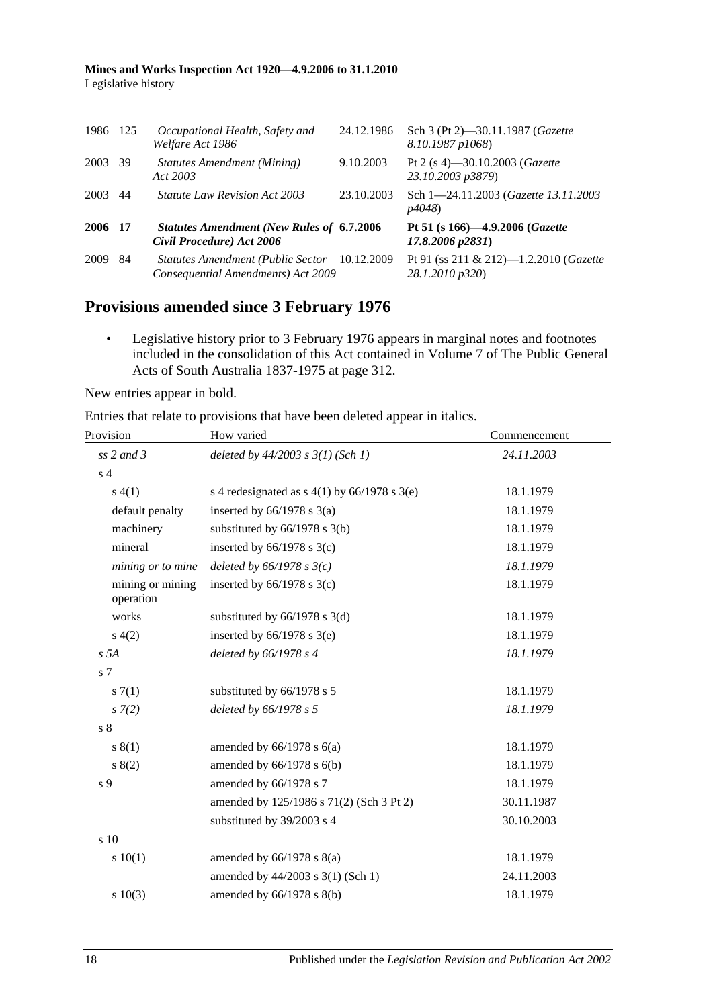| 1986    | 125 | Occupational Health, Safety and<br>Welfare Act 1986                                | 24.12.1986 | Sch 3 (Pt 2)–30.11.1987 ( <i>Gazette</i><br>8.10.1987 p1068)   |
|---------|-----|------------------------------------------------------------------------------------|------------|----------------------------------------------------------------|
| 2003    | -39 | <b>Statutes Amendment (Mining)</b><br>Act 2003                                     | 9.10.2003  | Pt 2 (s 4)-30.10.2003 (Gazette<br>23.10.2003 p3879)            |
| 2003    | 44  | <i>Statute Law Revision Act 2003</i>                                               | 23.10.2003 | Sch 1-24.11.2003 ( <i>Gazette 13.11.2003</i><br><i>p4048</i> ) |
| 2006 17 |     | <b>Statutes Amendment (New Rules of 6.7.2006)</b><br>Civil Procedure) Act 2006     |            | Pt 51 (s 166)-4.9.2006 (Gazette<br>17.8.2006 p2831)            |
| 2009    | 84  | Statutes Amendment (Public Sector 10.12.2009<br>Consequential Amendments) Act 2009 |            | Pt 91 (ss 211 & 212)-1.2.2010 (Gazette<br>28.1.2010 p320)      |

# **Provisions amended since 3 February 1976**

• Legislative history prior to 3 February 1976 appears in marginal notes and footnotes included in the consolidation of this Act contained in Volume 7 of The Public General Acts of South Australia 1837-1975 at page 312.

New entries appear in bold.

Entries that relate to provisions that have been deleted appear in italics.

| Provision                     | How varied                                     | Commencement |  |
|-------------------------------|------------------------------------------------|--------------|--|
| $ss$ 2 and 3                  | deleted by $44/2003$ s $3(1)$ (Sch 1)          | 24.11.2003   |  |
| s <sub>4</sub>                |                                                |              |  |
| s(4(1))                       | s 4 redesignated as $s$ 4(1) by 66/1978 s 3(e) | 18.1.1979    |  |
| default penalty               | inserted by $66/1978$ s $3(a)$                 | 18.1.1979    |  |
| machinery                     | substituted by $66/1978$ s $3(b)$              | 18.1.1979    |  |
| mineral                       | inserted by $66/1978$ s $3(c)$                 | 18.1.1979    |  |
| mining or to mine             | deleted by $66/1978$ s $3(c)$                  | 18.1.1979    |  |
| mining or mining<br>operation | inserted by $66/1978$ s $3(c)$                 | 18.1.1979    |  |
| works                         | substituted by $66/1978$ s $3(d)$              | 18.1.1979    |  |
| s(4(2)                        | inserted by $66/1978$ s $3(e)$                 | 18.1.1979    |  |
| s 5A                          | deleted by 66/1978 s 4                         | 18.1.1979    |  |
| s 7                           |                                                |              |  |
| s(7(1)                        | substituted by 66/1978 s 5                     | 18.1.1979    |  |
| $s \, 7(2)$                   | deleted by 66/1978 s 5                         | 18.1.1979    |  |
| s <sub>8</sub>                |                                                |              |  |
| s(1)                          | amended by $66/1978$ s $6(a)$                  | 18.1.1979    |  |
| s(2)                          | amended by 66/1978 s 6(b)                      | 18.1.1979    |  |
| s 9                           | amended by 66/1978 s 7                         | 18.1.1979    |  |
|                               | amended by 125/1986 s 71(2) (Sch 3 Pt 2)       | 30.11.1987   |  |
|                               | substituted by 39/2003 s 4                     | 30.10.2003   |  |
| s 10                          |                                                |              |  |
| 10(1)                         | amended by $66/1978$ s $8(a)$                  | 18.1.1979    |  |
|                               | amended by 44/2003 s 3(1) (Sch 1)              | 24.11.2003   |  |
| s 10(3)                       | amended by 66/1978 s 8(b)                      | 18.1.1979    |  |